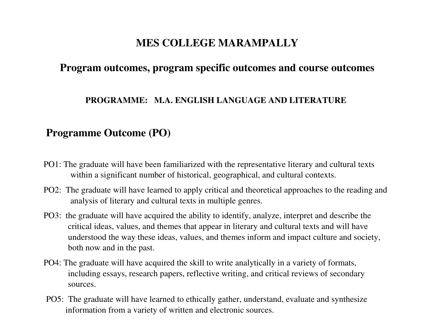# **MES COLLEGE MARAMPALLY**

# **Program outcomes, program specific outcomes and course outcomes**

#### **PROGRAMME: M.A. ENGLISH LANGUAGE AND LITERATURE**

# **Programme Outcome (PO)**

- PO1: The graduate will have been familiarized with the representative literary and cultural texts within a significant number of historical, geographical, and cultural contexts.
- PO2: The graduate will have learned to apply critical and theoretical approaches to the reading and analysis of literary and cultural texts in multiple genres.
- PO3: the graduate will have acquired the ability to identify, analyze, interpret and describe the critical ideas, values, and themes that appear in literary and cultural texts and will have understood the way these ideas, values, and themes inform and impact culture and society, both now and in the past.
- PO4: The graduate will have acquired the skill to write analytically in a variety of formats, including essays, research papers, reflective writing, and critical reviews of secondary sources.
- PO5: The graduate will have learned to ethically gather, understand, evaluate and synthesize information from a variety of written and electronic sources.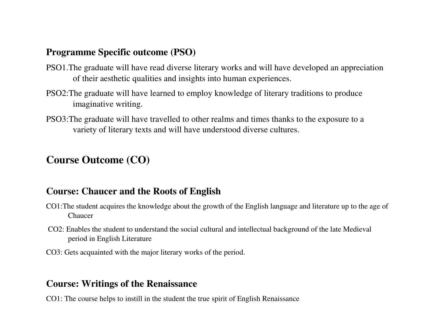# **Programme Specific outcome (PSO)**

- PSO1.The graduate will have read diverse literary works and will have developed an appreciation of their aesthetic qualities and insights into human experiences.
- PSO2:The graduate will have learned to employ knowledge of literary traditions to produce imaginative writing.
- PSO3:The graduate will have travelled to other realms and times thanks to the exposure to a variety of literary texts and will have understood diverse cultures.

# **Course Outcome (CO)**

### **Course: Chaucer and the Roots of English**

- CO1:The student acquires the knowledge about the growth of the English language and literature up to the age of Chaucer
- CO2: Enables the student to understand the social cultural and intellectual background of the late Medieval period in English Literature
- CO3: Gets acquainted with the major literary works of the period.

### **Course: Writings of the Renaissance**

CO1: The course helps to instill in the student the true spirit of English Renaissance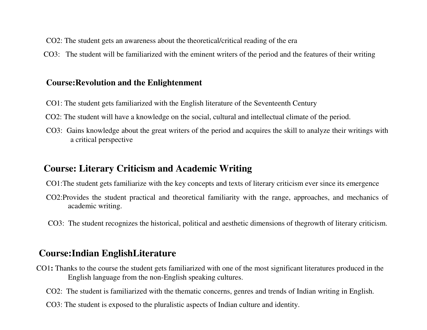- CO2: The student gets an awareness about the theoretical/critical reading of the era
- CO3: The student will be familiarized with the eminent writers of the period and the features of their writing

#### **Course:Revolution and the Enlightenment**

- CO1: The student gets familiarized with the English literature of the Seventeenth Century
- CO2: The student will have a knowledge on the social, cultural and intellectual climate of the period.
- CO3: Gains knowledge about the great writers of the period and acquires the skill to analyze their writings with a critical perspective

#### **Course: Literary Criticism and Academic Writing**

- CO1:The student gets familiarize with the key concepts and texts of literary criticism ever since its emergence
- CO2:Provides the student practical and theoretical familiarity with the range, approaches, and mechanics of academic writing.
- CO3: The student recognizes the historical, political and aesthetic dimensions of thegrowth of literary criticism.

#### **Course:Indian EnglishLiterature**

- CO1**:** Thanks to the course the student gets familiarized with one of the most significant literatures produced in the English language from the non-English speaking cultures.
	- CO2: The student is familiarized with the thematic concerns, genres and trends of Indian writing in English.
	- CO3: The student is exposed to the pluralistic aspects of Indian culture and identity.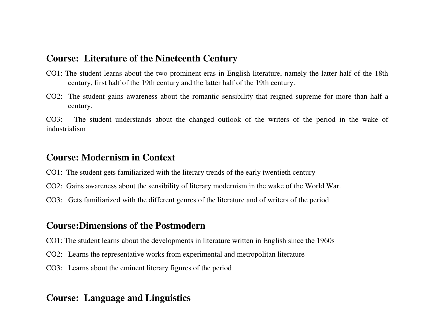#### **Course: Literature of the Nineteenth Century**

- CO1: The student learns about the two prominent eras in English literature, namely the latter half of the 18th century, first half of the 19th century and the latter half of the 19th century.
- CO2: The student gains awareness about the romantic sensibility that reigned supreme for more than half a century.

CO3: The student understands about the changed outlook of the writers of the period in the wake of industrialism

#### **Course: Modernism in Context**

- CO1: The student gets familiarized with the literary trends of the early twentieth century
- CO2: Gains awareness about the sensibility of literary modernism in the wake of the World War.
- CO3: Gets familiarized with the different genres of the literature and of writers of the period

#### **Course:Dimensions of the Postmodern**

- CO1: The student learns about the developments in literature written in English since the 1960s
- CO2: Learns the representative works from experimental and metropolitan literature
- CO3: Learns about the eminent literary figures of the period

### **Course: Language and Linguistics**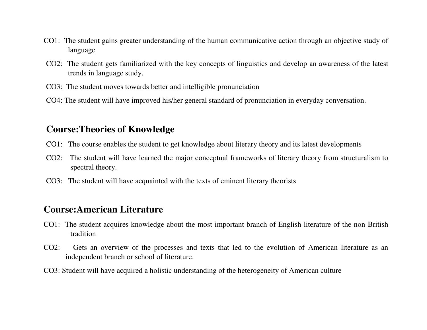- CO1: The student gains greater understanding of the human communicative action through an objective study of language
- CO2: The student gets familiarized with the key concepts of linguistics and develop an awareness of the latest trends in language study.
- CO3: The student moves towards better and intelligible pronunciation
- CO4: The student will have improved his/her general standard of pronunciation in everyday conversation.

## **Course:Theories of Knowledge**

- CO1: The course enables the student to get knowledge about literary theory and its latest developments
- CO2: The student will have learned the major conceptual frameworks of literary theory from structuralism to spectral theory.
- CO3: The student will have acquainted with the texts of eminent literary theorists

### **Course:American Literature**

- CO1: The student acquires knowledge about the most important branch of English literature of the non-British tradition
- CO2: Gets an overview of the processes and texts that led to the evolution of American literature as an independent branch or school of literature.
- CO3: Student will have acquired a holistic understanding of the heterogeneity of American culture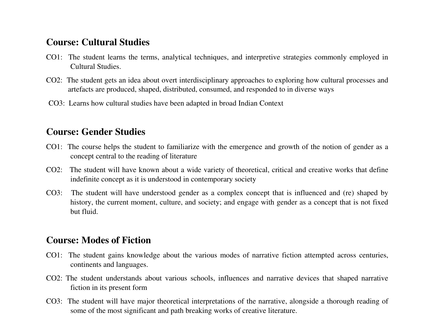### **Course: Cultural Studies**

- CO1: The student learns the terms, analytical techniques, and interpretive strategies commonly employed in Cultural Studies.
- CO2: The student gets an idea about overt interdisciplinary approaches to exploring how cultural processes and artefacts are produced, shaped, distributed, consumed, and responded to in diverse ways
- CO3: Learns how cultural studies have been adapted in broad Indian Context

#### **Course: Gender Studies**

- CO1: The course helps the student to familiarize with the emergence and growth of the notion of gender as a concept central to the reading of literature
- CO2: The student will have known about a wide variety of theoretical, critical and creative works that define indefinite concept as it is understood in contemporary society
- CO3: The student will have understood gender as a complex concept that is influenced and (re) shaped by history, the current moment, culture, and society; and engage with gender as a concept that is not fixed but fluid.

# **Course: Modes of Fiction**

- CO1: The student gains knowledge about the various modes of narrative fiction attempted across centuries, continents and languages.
- CO2: The student understands about various schools, influences and narrative devices that shaped narrative fiction in its present form
- CO3: The student will have major theoretical interpretations of the narrative, alongside a thorough reading of some of the most significant and path breaking works of creative literature.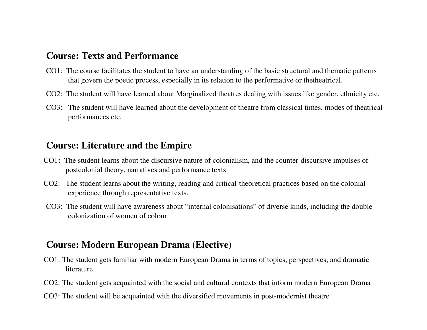#### **Course: Texts and Performance**

- CO1: The course facilitates the student to have an understanding of the basic structural and thematic patterns that govern the poetic process, especially in its relation to the performative or thetheatrical.
- CO2: The student will have learned about Marginalized theatres dealing with issues like gender, ethnicity etc.
- CO3: The student will have learned about the development of theatre from classical times, modes of theatrical performances etc.

#### **Course: Literature and the Empire**

- CO1**:** The student learns about the discursive nature of colonialism, and the counter-discursive impulses of postcolonial theory, narratives and performance texts
- CO2: The student learns about the writing, reading and critical-theoretical practices based on the colonial experience through representative texts.
- CO3: The student will have awareness about "internal colonisations" of diverse kinds, including the double colonization of women of colour.

# **Course: Modern European Drama (Elective)**

- CO1: The student gets familiar with modern European Drama in terms of topics, perspectives, and dramatic literature
- CO2: The student gets acquainted with the social and cultural contexts that inform modern European Drama
- CO3: The student will be acquainted with the diversified movements in post-modernist theatre